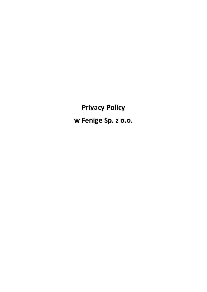**Privacy Policy w Fenige Sp. z o.o.**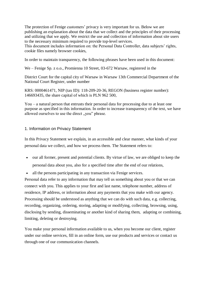The protection of Fenige customers' privacy is very important for us. Below we are publishing an explanation about the data that we collect and the principles of their processing and utilizing that we apply. We restrict the use and collection of information about site users to the necessary minimum required to provide top-level services.

This document includes information on: the Personal Data Controller, data subjects' rights, cookie files namely browser cookies,

In order to maintain transparency, the following phrases have been used in this document:

We – Fenige Sp. z o.o., Promienna 10 Street, 03-672 Warsaw, registered in the

District Court for the capital city of Warsaw in Warsaw 13th Commercial Department of the National Court Register, under number

KRS: 0000461471, NIP (tax ID): 118-209-20-36, REGON (business register number): 146693435, the share capital of which is PLN 962 500,

You – a natural person that entrusts their personal data for processing due to at least one purpose as specified in this information. In order to increase transparency of the text, we have allowed ourselves to use the direct "you" phrase.

### 1. Information on Privacy Statement

In this Privacy Statement we explain, in an accessible and clear manner, what kinds of your personal data we collect, and how we process them. The Statement refers to:

- our all former, present and potential clients. By virtue of law, we are obliged to keep the personal data about you, also for a specified time after the end of our relations,
- all the persons participating in any transaction via Fenige services.

Personal data refer to any information that may tell us something about you or that we can connect with you. This applies to your first and last name, telephone number, address of residence, IP address, or information about any payments that you make with our agency. Processing should be understood as anything that we can do with such data, e.g. collecting, recording, organizing, ordering, storing, adapting or modifying, collecting, browsing, using, disclosing by sending, disseminating or another kind of sharing them, adapting or combining, limiting, deleting or destroying.

You make your personal information available to us, when you become our client, register under our online services, fill in an online form, use our products and services or contact us through one of our communication channels.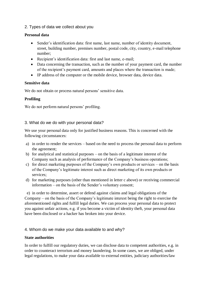## 2. Types of data we collect about you

### **Personal data**

- Sender's identification data: first name, last name, number of identity document, street, building number, premises number, postal code, city, country, e-mail telephone number;
- Recipient's identification data: first and last name, e-mail;
- Data concerning the transaction, such as the number of your payment card, the number of the recipient's payment card, amounts and places where the transaction is made;
- IP address of the computer or the mobile device, browser data, device data.

### **Sensitive data**

We do not obtain or process natural persons' sensitive data.

# **Profiling**

We do not perform natural persons' profiling.

## 3. What do we do with your personal data?

We use your personal data only for justified business reasons. This is concerned with the following circumstances:

- a) in order to render the services based on the need to process the personal data to perform the agreement;
- b) for analytical and statistical purposes on the basis of a legitimate interest of the Company such as analysis of performance of the Company's business operations;
- c) for direct marketing purposes of the Company's own products or services on the basis of the Company's legitimate interest such as direct marketing of its own products or services;
- d) for marketing purposes (other than mentioned in letter c above) or receiving commercial information – on the basis of the Sender's voluntary consent;

 e) in order to determine, assert or defend against claims and legal obligations of the Company – on the basis of the Company's legitimate interest being the right to exercise the aforementioned rights and fulfill legal duties. We can process your personal data to protect you against unfair actions, e.g. if you become a victim of identity theft, your personal data have been disclosed or a hacker has broken into your device.

# 4. Whom do we make your data available to and why?

### **State authorities**

In order to fulfill our regulatory duties, we can disclose data to competent authorities, e.g. in order to counteract terrorism and money laundering. In some cases, we are obliged, under legal regulations, to make your data available to external entities, judiciary authorities/law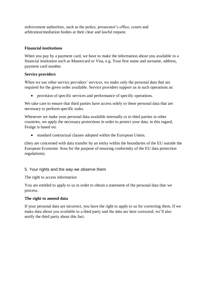enforcement authorities, such as the police, prosecutor's office, courts and arbitration/mediation bodies at their clear and lawful request.

## **Financial institutions**

When you pay by a payment card, we have to make the information about you available to a financial institution such as Mastercard or Visa, e.g. Your first name and surname, address, payment card number.

## **Service providers**

When we use other service providers' services, we make only the personal data that are required for the given order available. Service providers support us in such operations as:

provision of specific services and performance of specific operations.

We take care to ensure that third parties have access solely to these personal data that are necessary to perform specific tasks.

Whenever we make your personal data available internally or to third parties in other countries, we apply the necessary protections in order to protect your data. in this regard, Fenige is based on:

standard contractual clauses adopted within the European Union.

(they are concerned with data transfer by an entity within the boundaries of the EU outside the European Economic Area for the purpose of ensuring conformity of the EU data protection regulations).

# 5. Your rights and the way we observe them

The right to access information

You are entitled to apply to us in order to obtain a statement of the personal data that we process.

# **The right to amend data**

If your personal data are incorrect, you have the right to apply to us for correcting them. If we make data about you available to a third party and the data are later corrected, we'll also notify the third party about this fact.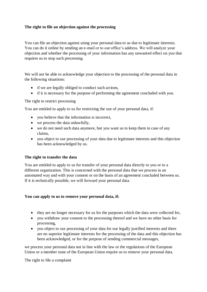## **The right to file an objection against the processing**

You can file an objection against using your personal data to us due to legitimate interests. You can do it online by sending an e-mail or to our office's address. We will analyze your objection and whether the processing of your information has any unwanted effect on you that requires us to stop such processing.

We will not be able to acknowledge your objection to the processing of the personal data in the following situations:

- if we are legally obliged to conduct such actions,
- if it is necessary for the purpose of performing the agreement concluded with you.

The right to restrict processing

You are entitled to apply to us for restricting the use of your personal data, if:

- you believe that the information is incorrect,
- we process the data unlawfully,
- we do not need such data anymore, but you want us to keep them in case of any claims,
- vou object to our processing of your data due to legitimate interests and this objection has been acknowledged by us.

#### **The right to transfer the data**

You are entitled to apply to us for transfer of your personal data directly to you or to a different organization. This is concerned with the personal data that we process in an automated way and with your consent or on the basis of an agreement concluded between us. If it is technically possible, we will forward your personal data.

#### **You can apply to us to remove your personal data, if:**

- they are no longer necessary for us for the purposes which the data were collected for,
- you withdraw your consent to the processing thereof and we have no other basis for processing,
- you object to our processing of your data for our legally justified interests and there are no superior legitimate interests for the processing of the data and this objection has been acknowledged, or for the purpose of sending commercial messages,

we process your personal data not in line with the law or the regulations of the European Union or a member state of the European Union require us to remove your personal data.

The right to file a complaint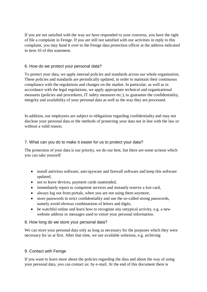If you are not satisfied with the way we have responded to your concerns, you have the right of file a complaint in Fenige. If you are still not satisfied with our activities in reply to this complaint, you may hand it over to the Fenige data protection officer at the address indicated in item 10 of this statement.

## 6. How do we protect your personal data?

To protect your data, we apply internal policies and standards across our whole organization. These policies and standards are periodically updated, in order to maintain their continuous compliance with the regulations and changes on the market. In particular, as well as in accordance with the legal regulations, we apply appropriate technical and organizational measures (policies and procedures, IT safety measures etc.), to guarantee the confidentiality, integrity and availability of your personal data as well as the way they are processed.

In addition, our employees are subject to obligations regarding confidentiality and may not disclose your personal data or the methods of protecting your data not in line with the law or without a valid reason.

## 7. What can you do to make it easier for us to protect your data?

The protection of your data is our priority, we do our best, but there are some actions which you can take yourself:

- install antivirus software, anti-spyware and firewall software and keep this software updated,
- not to leave devices, payment cards unattended,
- immediately report to competent services and instantly reserve a lost card,
- always log out from portals, when you are not using them anymore,
- store passwords in strict confidentiality and use the so-called strong passwords, namely avoid obvious combinations of letters and digits,
- be watchful online and learn how to recognize any untypical activity, e.g. a new website address or messages used to extort your personal information.

### 8. How long do we store your personal data?

We can store your personal data only as long as necessary for the purposes which they were necessary for us at first. After that time, we use available solutions, e.g. archiving

# 9. Contact with Fenige

If you want to learn more about the policies regarding the data and about the way of using your personal data, you can contact us: by e-mail. At the end of this document there is